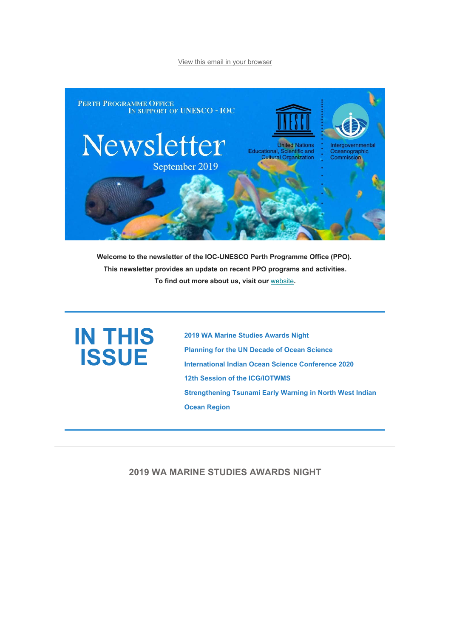#### View this email in your browser



**Welcome to the newsletter of the IOC-UNESCO Perth Programme Office (PPO). This newsletter provides an update on recent PPO programs and activities. To find out more about us, visit our** website**.**

# **IN THIS ISSUE**

**2019 WA Marine Studies Awards Night Planning for the UN Decade of Ocean Science International Indian Ocean Science Conference 2020 12th Session of the ICG/IOTWMS Strengthening Tsunami Early Warning in North West Indian Ocean Region**

### **2019 WA MARINE STUDIES AWARDS NIGHT**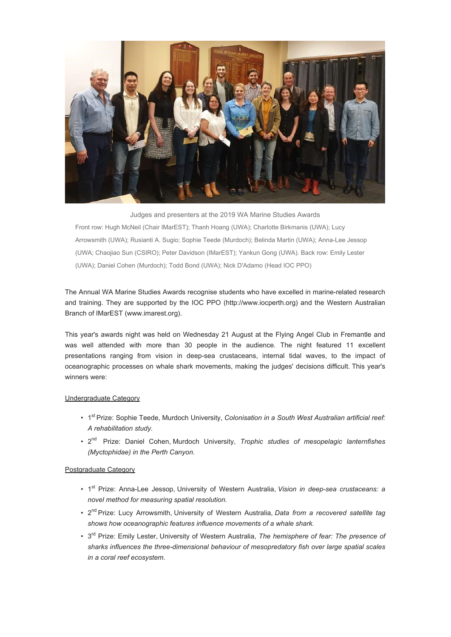

Judges and presenters at the 2019 WA Marine Studies Awards Front row: Hugh McNeil (Chair IMarEST); Thanh Hoang (UWA); Charlotte Birkmanis (UWA); Lucy Arrowsmith (UWA); Rusianti A. Sugio; Sophie Teede (Murdoch); Belinda Martin (UWA); Anna-Lee Jessop (UWA; Chaojiao Sun (CSIRO); Peter Davidson (IMarEST); Yankun Gong (UWA). Back row: Emily Lester (UWA); Daniel Cohen (Murdoch); Todd Bond (UWA); Nick D'Adamo (Head IOC PPO)

The Annual WA Marine Studies Awards recognise students who have excelled in marine-related research and training. They are supported by the IOC PPO (http://www.iocperth.org) and the Western Australian Branch of IMarEST (www.imarest.org).

This year's awards night was held on Wednesday 21 August at the Flying Angel Club in Fremantle and was well attended with more than 30 people in the audience. The night featured 11 excellent presentations ranging from vision in deep-sea crustaceans, internal tidal waves, to the impact of oceanographic processes on whale shark movements, making the judges' decisions difficult. This year's winners were:

#### Undergraduate Category

- 1st Prize: Sophie Teede, Murdoch University, *Colonisation in a South West Australian artificial reef: A rehabilitation study.*
- 2nd Prize: Daniel Cohen, Murdoch University, *Trophic studies of mesopelagic lanternfishes (Myctophidae) in the Perth Canyon.*

#### Postgraduate Category

- 1st Prize: Anna-Lee Jessop, University of Western Australia, *Vision in deep-sea crustaceans: a novel method for measuring spatial resolution.*
- 2nd Prize: Lucy Arrowsmith, University of Western Australia, *Data from a recovered satellite tag shows how oceanographic features influence movements of a whale shark.*
- 3rd Prize: Emily Lester, University of Western Australia, *The hemisphere of fear: The presence of sharks influences the three-dimensional behaviour of mesopredatory fish over large spatial scales in a coral reef ecosystem.*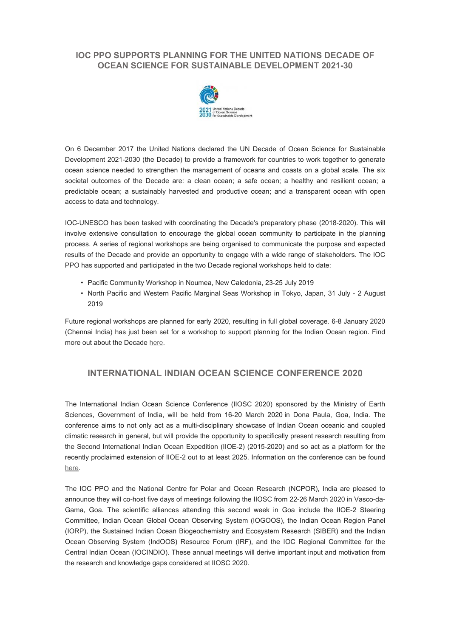# **IOC PPO SUPPORTS PLANNING FOR THE UNITED NATIONS DECADE OF OCEAN SCIENCE FOR SUSTAINABLE DEVELOPMENT 2021-30**



On 6 December 2017 the United Nations declared the UN Decade of Ocean Science for Sustainable Development 2021-2030 (the Decade) to provide a framework for countries to work together to generate ocean science needed to strengthen the management of oceans and coasts on a global scale. The six societal outcomes of the Decade are: a clean ocean; a safe ocean; a healthy and resilient ocean; a predictable ocean; a sustainably harvested and productive ocean; and a transparent ocean with open access to data and technology.

IOC-UNESCO has been tasked with coordinating the Decade's preparatory phase (2018-2020). This will involve extensive consultation to encourage the global ocean community to participate in the planning process. A series of regional workshops are being organised to communicate the purpose and expected results of the Decade and provide an opportunity to engage with a wide range of stakeholders. The IOC PPO has supported and participated in the two Decade regional workshops held to date:

- Pacific Community Workshop in Noumea, New Caledonia, 23-25 July 2019
- North Pacific and Western Pacific Marginal Seas Workshop in Tokyo, Japan, 31 July 2 August 2019

Future regional workshops are planned for early 2020, resulting in full global coverage. 6-8 January 2020 (Chennai India) has just been set for a workshop to support planning for the Indian Ocean region. Find more out about the Decade here.

## **INTERNATIONAL INDIAN OCEAN SCIENCE CONFERENCE 2020**

The International Indian Ocean Science Conference (IIOSC 2020) sponsored by the Ministry of Earth Sciences, Government of India, will be held from 16-20 March 2020 in Dona Paula, Goa, India. The conference aims to not only act as a multi-disciplinary showcase of Indian Ocean oceanic and coupled climatic research in general, but will provide the opportunity to specifically present research resulting from the Second International Indian Ocean Expedition (IIOE-2) (2015-2020) and so act as a platform for the recently proclaimed extension of IIOE-2 out to at least 2025. Information on the conference can be found here.

The IOC PPO and the National Centre for Polar and Ocean Research (NCPOR), India are pleased to announce they will co-host five days of meetings following the IIOSC from 22-26 March 2020 in Vasco-da-Gama, Goa. The scientific alliances attending this second week in Goa include the IIOE-2 Steering Committee, Indian Ocean Global Ocean Observing System (IOGOOS), the Indian Ocean Region Panel (IORP), the Sustained Indian Ocean Biogeochemistry and Ecosystem Research (SIBER) and the Indian Ocean Observing System (IndOOS) Resource Forum (IRF), and the IOC Regional Committee for the Central Indian Ocean (IOCINDIO). These annual meetings will derive important input and motivation from the research and knowledge gaps considered at IIOSC 2020.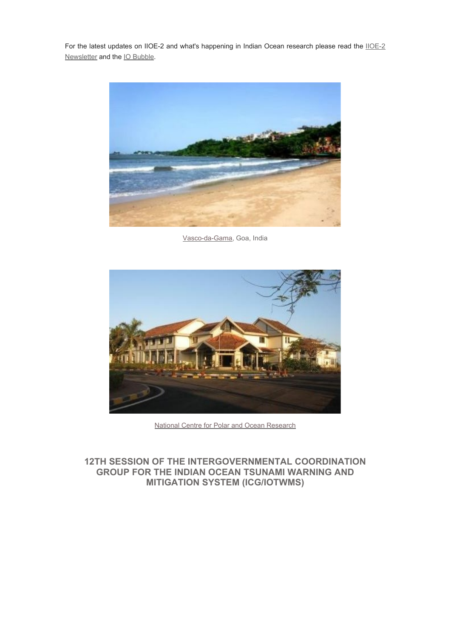For the latest updates on IIOE-2 and what's happening in Indian Ocean research please read the IIOE-2 Newsletter and the IO Bubble.



Vasco-da-Gama, Goa, India



National Centre for Polar and Ocean Research

# **12TH SESSION OF THE INTERGOVERNMENTAL COORDINATION GROUP FOR THE INDIAN OCEAN TSUNAMI WARNING AND MITIGATION SYSTEM (ICG/IOTWMS)**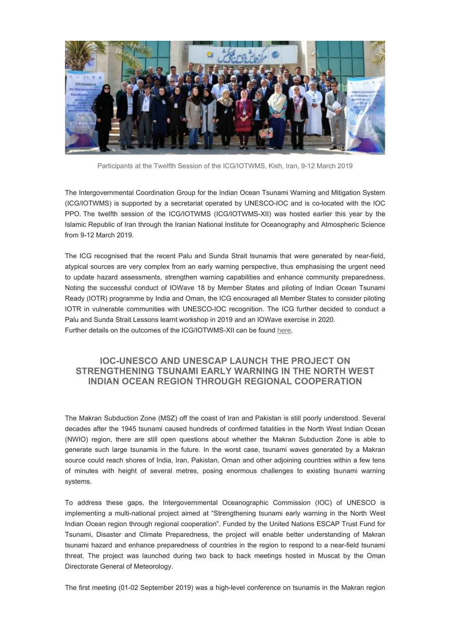

Participants at the Twelfth Session of the ICG/IOTWMS, Kish, Iran, 9-12 March 2019

The Intergovernmental Coordination Group for the Indian Ocean Tsunami Warning and Mitigation System (ICG/IOTWMS) is supported by a secretariat operated by UNESCO-IOC and is co-located with the IOC PPO. The twelfth session of the ICG/IOTWMS (ICG/IOTWMS-XII) was hosted earlier this year by the Islamic Republic of Iran through the Iranian National Institute for Oceanography and Atmospheric Science from 9-12 March 2019.

The ICG recognised that the recent Palu and Sunda Strait tsunamis that were generated by near-field, atypical sources are very complex from an early warning perspective, thus emphasising the urgent need to update hazard assessments, strengthen warning capabilities and enhance community preparedness. Noting the successful conduct of IOWave 18 by Member States and piloting of Indian Ocean Tsunami Ready (IOTR) programme by India and Oman, the ICG encouraged all Member States to consider piloting IOTR in vulnerable communities with UNESCO-IOC recognition. The ICG further decided to conduct a Palu and Sunda Strait Lessons learnt workshop in 2019 and an IOWave exercise in 2020. Further details on the outcomes of the ICG/IOTWMS-XII can be found here.

# **IOC-UNESCO AND UNESCAP LAUNCH THE PROJECT ON STRENGTHENING TSUNAMI EARLY WARNING IN THE NORTH WEST INDIAN OCEAN REGION THROUGH REGIONAL COOPERATION**

The Makran Subduction Zone (MSZ) off the coast of Iran and Pakistan is still poorly understood. Several decades after the 1945 tsunami caused hundreds of confirmed fatalities in the North West Indian Ocean (NWIO) region, there are still open questions about whether the Makran Subduction Zone is able to generate such large tsunamis in the future. In the worst case, tsunami waves generated by a Makran source could reach shores of India, Iran, Pakistan, Oman and other adjoining countries within a few tens of minutes with height of several metres, posing enormous challenges to existing tsunami warning systems.

To address these gaps, the Intergovernmental Oceanographic Commission (IOC) of UNESCO is implementing a multi-national project aimed at "Strengthening tsunami early warning in the North West Indian Ocean region through regional cooperation". Funded by the United Nations ESCAP Trust Fund for Tsunami, Disaster and Climate Preparedness, the project will enable better understanding of Makran tsunami hazard and enhance preparedness of countries in the region to respond to a near-field tsunami threat. The project was launched during two back to back meetings hosted in Muscat by the Oman Directorate General of Meteorology.

The first meeting (01-02 September 2019) was a high-level conference on tsunamis in the Makran region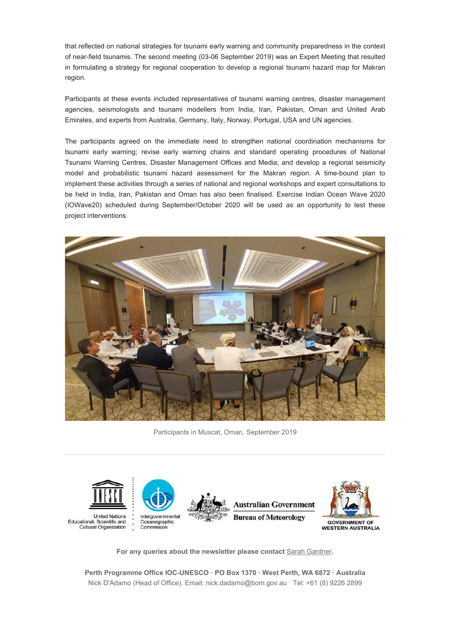that reflected on national strategies for tsunami early warning and community preparedness in the context of near-field tsunamis. The second meeting (03-06 September 2019) was an Expert Meeting that resulted in formulating a strategy for regional cooperation to develop a regional tsunami hazard map for Makran region.

Participants at these events included representatives of tsunami warning centres, disaster management agencies, seismologists and tsunami modellers from India, Iran, Pakistan, Oman and United Arab Emirates, and experts from Australia, Germany, Italy, Norway, Portugal, USA and UN agencies.

The participants agreed on the immediate need to strengthen national coordination mechanisms for tsunami early warning; revise early warning chains and standard operating procedures of National Tsunami Warning Centres, Disaster Management Offices and Media; and develop a regional seismicity model and probabilistic tsunami hazard assessment for the Makran region. A time-bound plan to implement these activities through a series of national and regional workshops and expert consultations to be held in India, Iran, Pakistan and Oman has also been finalised. Exercise Indian Ocean Wave 2020 (IOWave20) scheduled during September/October 2020 will be used as an opportunity to test these project interventions.



Participants in Muscat, Oman, September 2019



**For any queries about the newsletter please contact** Sarah Gardner**.**

**Perth Programme Office IOC-UNESCO · PO Box 1370 · West Perth, WA 6872 · Australia** Nick D'Adamo (Head of Office). Email: nick.dadamo@bom.gov.au · Tel: +61 (8) 9226 2899